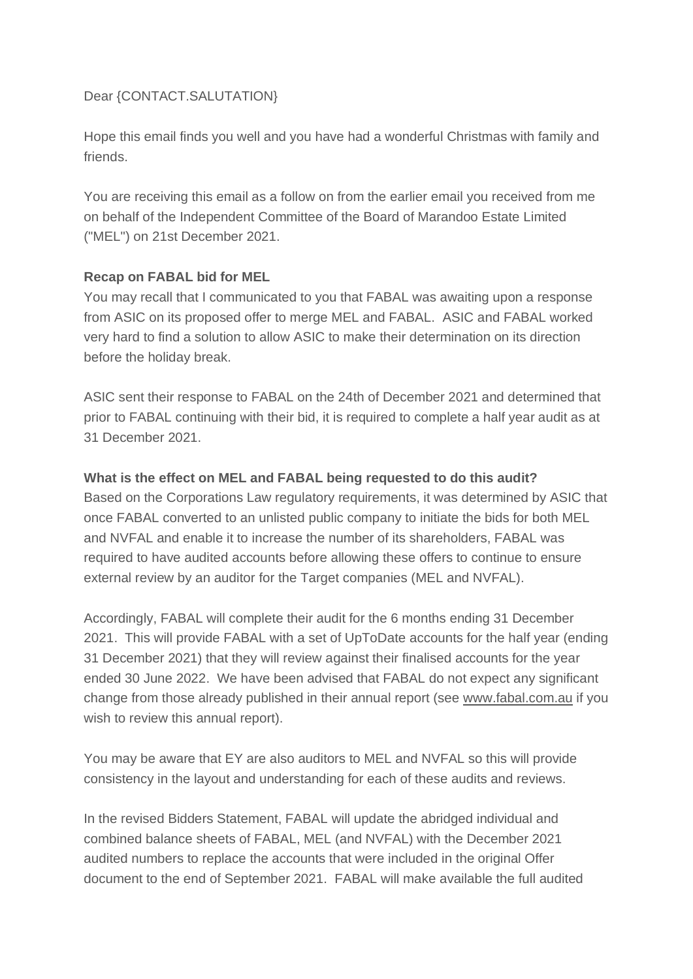### Dear {CONTACT.SALUTATION}

Hope this email finds you well and you have had a wonderful Christmas with family and friends.

You are receiving this email as a follow on from the earlier email you received from me on behalf of the Independent Committee of the Board of Marandoo Estate Limited ("MEL") on 21st December 2021.

## **Recap on FABAL bid for MEL**

You may recall that I communicated to you that FABAL was awaiting upon a response from ASIC on its proposed offer to merge MEL and FABAL. ASIC and FABAL worked very hard to find a solution to allow ASIC to make their determination on its direction before the holiday break.

ASIC sent their response to FABAL on the 24th of December 2021 and determined that prior to FABAL continuing with their bid, it is required to complete a half year audit as at 31 December 2021.

## **What is the effect on MEL and FABAL being requested to do this audit?**

Based on the Corporations Law regulatory requirements, it was determined by ASIC that once FABAL converted to an unlisted public company to initiate the bids for both MEL and NVFAL and enable it to increase the number of its shareholders, FABAL was required to have audited accounts before allowing these offers to continue to ensure external review by an auditor for the Target companies (MEL and NVFAL).

Accordingly, FABAL will complete their audit for the 6 months ending 31 December 2021. This will provide FABAL with a set of UpToDate accounts for the half year (ending 31 December 2021) that they will review against their finalised accounts for the year ended 30 June 2022. We have been advised that FABAL do not expect any significant change from those already published in their annual report (see [www.fabal.com.au](http://www.fabal.com.au/) if you wish to review this annual report).

You may be aware that EY are also auditors to MEL and NVFAL so this will provide consistency in the layout and understanding for each of these audits and reviews.

In the revised Bidders Statement, FABAL will update the abridged individual and combined balance sheets of FABAL, MEL (and NVFAL) with the December 2021 audited numbers to replace the accounts that were included in the original Offer document to the end of September 2021. FABAL will make available the full audited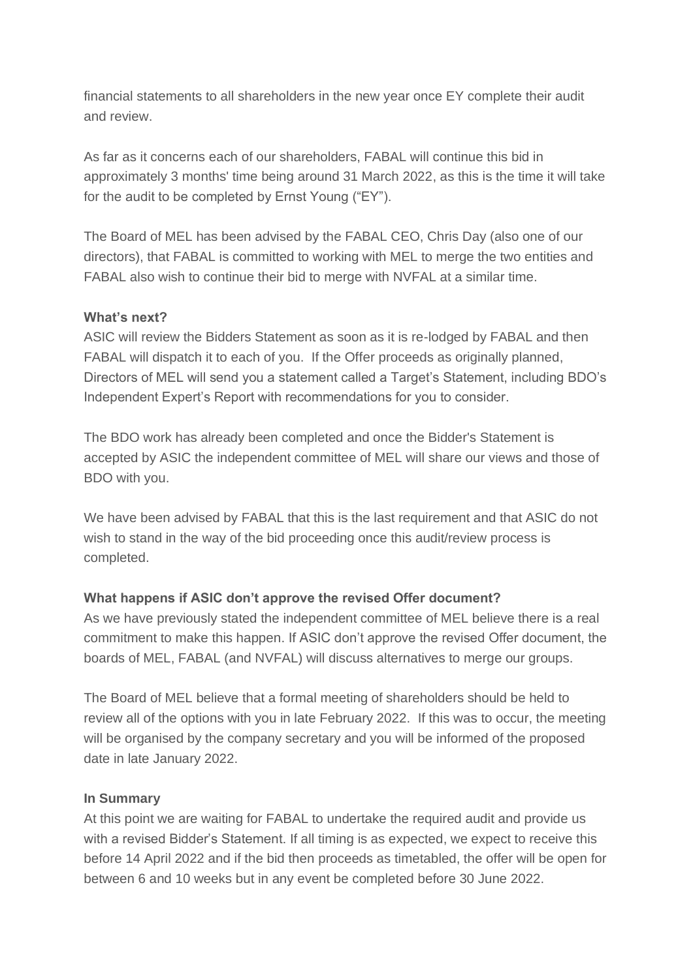financial statements to all shareholders in the new year once EY complete their audit and review.

As far as it concerns each of our shareholders, FABAL will continue this bid in approximately 3 months' time being around 31 March 2022, as this is the time it will take for the audit to be completed by Ernst Young ("EY").

The Board of MEL has been advised by the FABAL CEO, Chris Day (also one of our directors), that FABAL is committed to working with MEL to merge the two entities and FABAL also wish to continue their bid to merge with NVFAL at a similar time.

# **What's next?**

ASIC will review the Bidders Statement as soon as it is re-lodged by FABAL and then FABAL will dispatch it to each of you. If the Offer proceeds as originally planned, Directors of MEL will send you a statement called a Target's Statement, including BDO's Independent Expert's Report with recommendations for you to consider.

The BDO work has already been completed and once the Bidder's Statement is accepted by ASIC the independent committee of MEL will share our views and those of BDO with you.

We have been advised by FABAL that this is the last requirement and that ASIC do not wish to stand in the way of the bid proceeding once this audit/review process is completed.

# **What happens if ASIC don't approve the revised Offer document?**

As we have previously stated the independent committee of MEL believe there is a real commitment to make this happen. If ASIC don't approve the revised Offer document, the boards of MEL, FABAL (and NVFAL) will discuss alternatives to merge our groups.

The Board of MEL believe that a formal meeting of shareholders should be held to review all of the options with you in late February 2022. If this was to occur, the meeting will be organised by the company secretary and you will be informed of the proposed date in late January 2022.

### **In Summary**

At this point we are waiting for FABAL to undertake the required audit and provide us with a revised Bidder's Statement. If all timing is as expected, we expect to receive this before 14 April 2022 and if the bid then proceeds as timetabled, the offer will be open for between 6 and 10 weeks but in any event be completed before 30 June 2022.